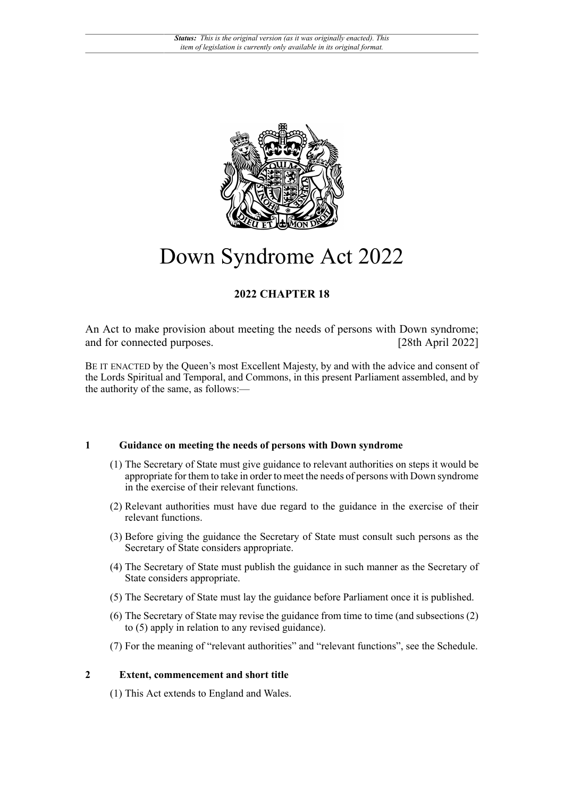

# Down Syndrome Act 2022

# **2022 CHAPTER 18**

An Act to make provision about meeting the needs of persons with Down syndrome; and for connected purposes. [28th April 2022]

BE IT ENACTED by the Queen's most Excellent Majesty, by and with the advice and consent of the Lords Spiritual and Temporal, and Commons, in this present Parliament assembled, and by the authority of the same, as follows:—

# **1 Guidance on meeting the needs of persons with Down syndrome**

- (1) The Secretary of State must give guidance to relevant authorities on steps it would be appropriate for them to take in order to meet the needs of persons with Down syndrome in the exercise of their relevant functions.
- (2) Relevant authorities must have due regard to the guidance in the exercise of their relevant functions.
- (3) Before giving the guidance the Secretary of State must consult such persons as the Secretary of State considers appropriate.
- (4) The Secretary of State must publish the guidance in such manner as the Secretary of State considers appropriate.
- (5) The Secretary of State must lay the guidance before Parliament once it is published.
- (6) The Secretary of State may revise the guidance from time to time (and subsections (2) to (5) apply in relation to any revised guidance).
- (7) For the meaning of "relevant authorities" and "relevant functions", see the Schedule.

# **2 Extent, commencement and short title**

(1) This Act extends to England and Wales.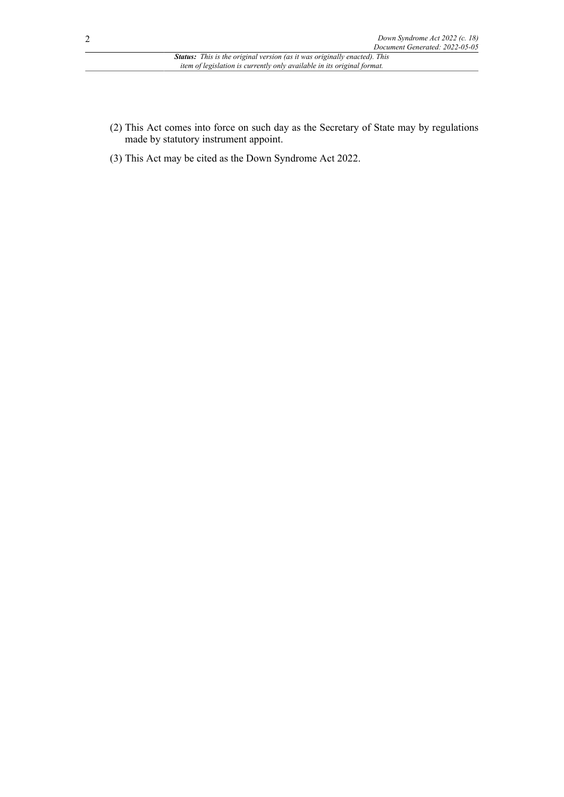- (2) This Act comes into force on such day as the Secretary of State may by regulations made by statutory instrument appoint.
- (3) This Act may be cited as the Down Syndrome Act 2022.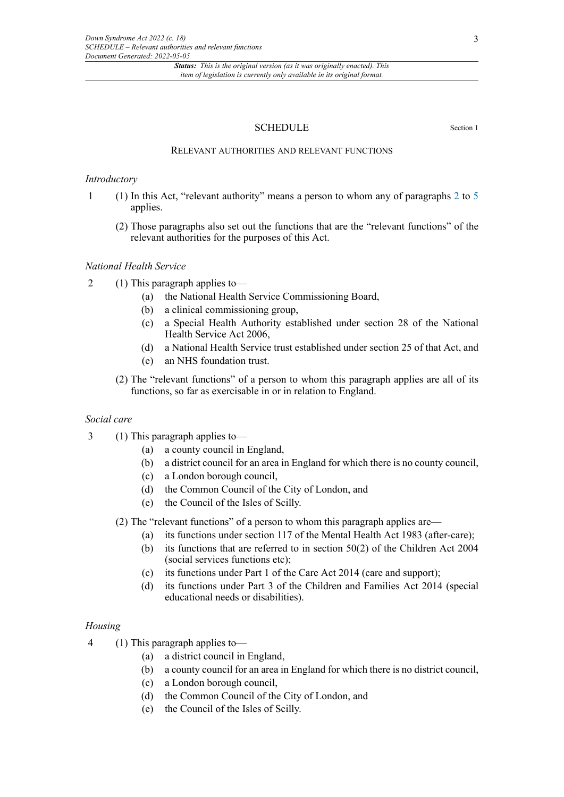*Status: This is the original version (as it was originally enacted). This item of legislation is currently only available in its original format.*

# SCHEDULE Section 1

## RELEVANT AUTHORITIES AND RELEVANT FUNCTIONS

#### *Introductory*

- 1 (1) In this Act, "relevant authority" means a person to whom any of paragraphs [2](#page-2-0) to [5](#page-3-0) applies.
	- (2) Those paragraphs also set out the functions that are the "relevant functions" of the relevant authorities for the purposes of this Act.

# *National Health Service*

- <span id="page-2-0"></span>2 (1) This paragraph applies to—
	- (a) the National Health Service Commissioning Board,
	- (b) a clinical commissioning group,
	- (c) a Special Health Authority established under section 28 of the National Health Service Act 2006,
	- (d) a National Health Service trust established under section 25 of that Act, and
	- (e) an NHS foundation trust.
	- (2) The "relevant functions" of a person to whom this paragraph applies are all of its functions, so far as exercisable in or in relation to England.

# *Social care*

- 3 (1) This paragraph applies to—
	- (a) a county council in England,
	- (b) a district council for an area in England for which there is no county council,
	- (c) a London borough council,
	- (d) the Common Council of the City of London, and
	- (e) the Council of the Isles of Scilly.

(2) The "relevant functions" of a person to whom this paragraph applies are—

- (a) its functions under section 117 of the Mental Health Act 1983 (after-care);
- (b) its functions that are referred to in section 50(2) of the Children Act 2004 (social services functions etc);
- (c) its functions under Part 1 of the Care Act 2014 (care and support);
- (d) its functions under Part 3 of the Children and Families Act 2014 (special educational needs or disabilities).

## *Housing*

- 4 (1) This paragraph applies to—
	- (a) a district council in England,
	- (b) a county council for an area in England for which there is no district council,
	- (c) a London borough council,
	- (d) the Common Council of the City of London, and
	- (e) the Council of the Isles of Scilly.